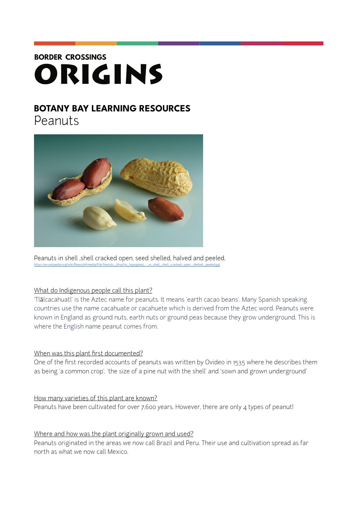# **BORDER CROSSINGS** ORIGINS

# **BOTANY BAY LEARNING RESOURCES**

Peanuts



Peanuts in shell, shell cracked open, seed shelled, halved and peeled. [https://en.wikipedia.org/wiki/Peanut#/media/File:Peanuts\\_\(Arachis\\_hypogaea\)\\_-\\_in\\_shell,\\_shell\\_cracked\\_open,\\_shelled,\\_peeled.jpg](https://en.wikipedia.org/wiki/Peanut%252523/media/File:Peanuts_(Arachis_hypogaea)_-_in_shell,_shell_cracked_open,_shelled,_peeled.jpg)

### What do Indigenous people call this plant?

'Tlālcacahuatl' is the Aztec name for peanuts. It means 'earth cacao beans'. Many Spanish speaking countries use the name cacahuate or cacahuete which is derived from the Aztec word. Peanuts were known in England as ground nuts, earth nuts or ground peas because they grow underground. This is where the English name peanut comes from.

## When was this plant first documented?

One of the first recorded accounts of peanuts was written by Ovideo in 1535 where he describes them as being 'a common crop', 'the size of a pine nut with the shell' and 'sown and grown underground'

How many varieties of this plant are known? Peanuts have been cultivated for over 7,600 years. However, there are only 4 types of peanut!

### Where and how was the plant originally grown and used?

Peanuts originated in the areas we now call Brazil and Peru. Their use and cultivation spread as far north as what we now call Mexico.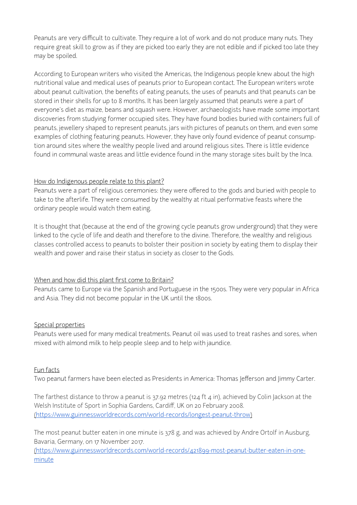Peanuts are very difficult to cultivate. They require a lot of work and do not produce many nuts. They require great skill to grow as if they are picked too early they are not edible and if picked too late they may be spoiled.

According to European writers who visited the Americas, the Indigenous people knew about the high nutritional value and medical uses of peanuts prior to European contact. The European writers wrote about peanut cultivation, the benefits of eating peanuts, the uses of peanuts and that peanuts can be stored in their shells for up to 8 months. It has been largely assumed that peanuts were a part of everyone's diet as maize, beans and squash were. However, archaeologists have made some important discoveries from studying former occupied sites. They have found bodies buried with containers full of peanuts, jewellery shaped to represent peanuts, jars with pictures of peanuts on them, and even some examples of clothing featuring peanuts. However, they have only found evidence of peanut consumption around sites where the wealthy people lived and around religious sites. There is little evidence found in communal waste areas and little evidence found in the many storage sites built by the Inca.

#### How do Indigenous people relate to this plant?

Peanuts were a part of religious ceremonies: they were offered to the gods and buried with people to take to the afterlife. They were consumed by the wealthy at ritual performative feasts where the ordinary people would watch them eating.

It is thought that (because at the end of the growing cycle peanuts grow underground) that they were linked to the cycle of life and death and therefore to the divine. Therefore, the wealthy and religious classes controlled access to peanuts to bolster their position in society by eating them to display their wealth and power and raise their status in society as closer to the Gods.

### When and how did this plant first come to Britain?

Peanuts came to Europe via the Spanish and Portuguese in the 1500s. They were very popular in Africa and Asia. They did not become popular in the UK until the 1800s.

### Special properties

Peanuts were used for many medical treatments. Peanut oil was used to treat rashes and sores, when mixed with almond milk to help people sleep and to help with jaundice.

#### Fun facts

Two peanut farmers have been elected as Presidents in America: Thomas Jefferson and Jimmy Carter.

The farthest distance to throw a peanut is 37.92 metres (124 ft 4 in), achieved by Colin Jackson at the Welsh Institute of Sport in Sophia Gardens, Cardiff, UK on 20 February 2008. (<https://www.guinnessworldrecords.com/world-records/longest-peanut-throw>)

The most peanut butter eaten in one minute is 378 g, and was achieved by Andre Ortolf in Ausburg, Bavaria, Germany, on 17 November 2017.

[\(https://www.guinnessworldrecords.com/world-records/421899-most-peanut-butter-eaten-in-one](https://www.guinnessworldrecords.com/world-records/421899-most-peanut-butter-eaten-in-one-minute)[minute](https://www.guinnessworldrecords.com/world-records/421899-most-peanut-butter-eaten-in-one-minute)